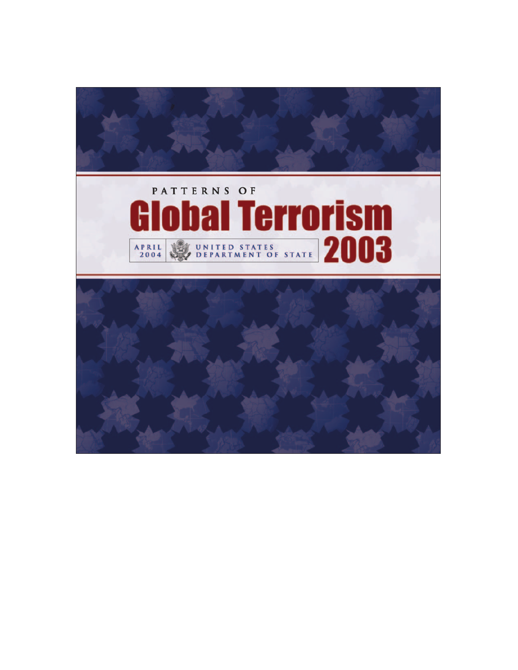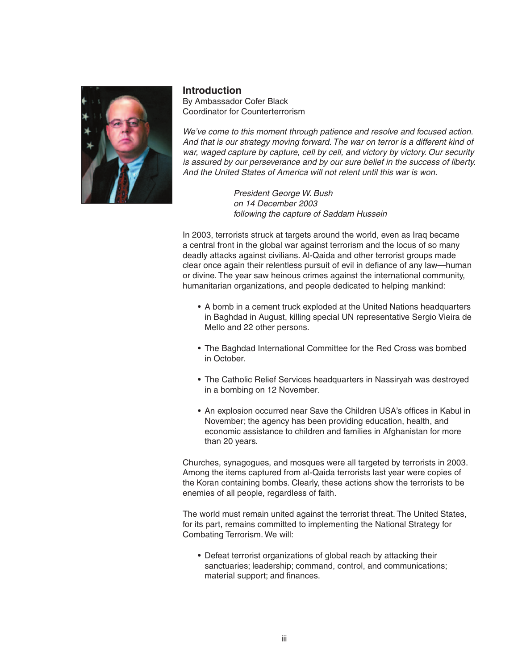

**Introduction** By Ambassador Cofer Black Coordinator for Counterterrorism

We've come to this moment through patience and resolve and focused action. And that is our strategy moving forward. The war on terror is a different kind of war, waged capture by capture, cell by cell, and victory by victory. Our security is assured by our perseverance and by our sure belief in the success of liberty. And the United States of America will not relent until this war is won.

> President George W. Bush on 14 December 2003 following the capture of Saddam Hussein

In 2003, terrorists struck at targets around the world, even as Iraq became a central front in the global war against terrorism and the locus of so many deadly attacks against civilians. Al-Qaida and other terrorist groups made clear once again their relentless pursuit of evil in defiance of any law—human or divine. The year saw heinous crimes against the international community, humanitarian organizations, and people dedicated to helping mankind:

- A bomb in a cement truck exploded at the United Nations headquarters in Baghdad in August, killing special UN representative Sergio Vieira de Mello and 22 other persons.
- The Baghdad International Committee for the Red Cross was bombed in October.
- The Catholic Relief Services headquarters in Nassiryah was destroyed in a bombing on 12 November.
- An explosion occurred near Save the Children USA's offices in Kabul in November; the agency has been providing education, health, and economic assistance to children and families in Afghanistan for more than 20 years.

Churches, synagogues, and mosques were all targeted by terrorists in 2003. Among the items captured from al-Qaida terrorists last year were copies of the Koran containing bombs. Clearly, these actions show the terrorists to be enemies of all people, regardless of faith.

The world must remain united against the terrorist threat. The United States, for its part, remains committed to implementing the National Strategy for Combating Terrorism. We will:

 • Defeat terrorist organizations of global reach by attacking their sanctuaries; leadership; command, control, and communications; material support; and finances.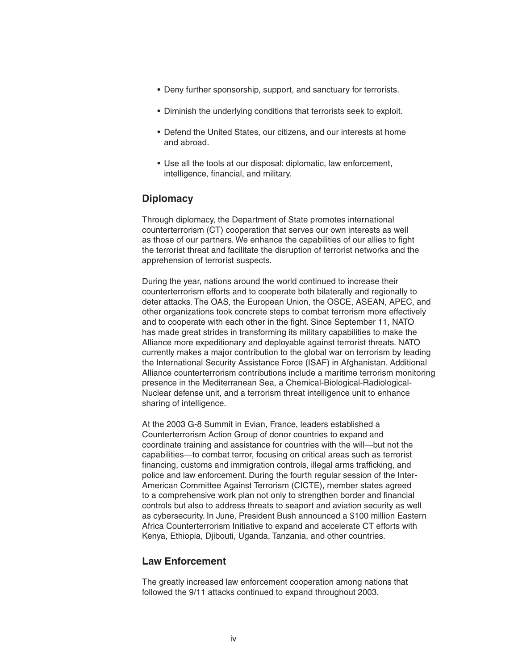- Deny further sponsorship, support, and sanctuary for terrorists.
- Diminish the underlying conditions that terrorists seek to exploit.
- Defend the United States, our citizens, and our interests at home and abroad.
- Use all the tools at our disposal: diplomatic, law enforcement, intelligence, financial, and military.

# **Diplomacy**

Through diplomacy, the Department of State promotes international counterterrorism (CT) cooperation that serves our own interests as well as those of our partners. We enhance the capabilities of our allies to fight the terrorist threat and facilitate the disruption of terrorist networks and the apprehension of terrorist suspects.

During the year, nations around the world continued to increase their counterterrorism efforts and to cooperate both bilaterally and regionally to deter attacks. The OAS, the European Union, the OSCE, ASEAN, APEC, and other organizations took concrete steps to combat terrorism more effectively and to cooperate with each other in the fight. Since September 11, NATO has made great strides in transforming its military capabilities to make the Alliance more expeditionary and deployable against terrorist threats. NATO currently makes a major contribution to the global war on terrorism by leading the International Security Assistance Force (ISAF) in Afghanistan. Additional Alliance counterterrorism contributions include a maritime terrorism monitoring presence in the Mediterranean Sea, a Chemical-Biological-Radiological-Nuclear defense unit, and a terrorism threat intelligence unit to enhance sharing of intelligence.

At the 2003 G-8 Summit in Evian, France, leaders established a Counterterrorism Action Group of donor countries to expand and coordinate training and assistance for countries with the will—but not the capabilities—to combat terror, focusing on critical areas such as terrorist financing, customs and immigration controls, illegal arms trafficking, and police and law enforcement. During the fourth regular session of the Inter-American Committee Against Terrorism (CICTE), member states agreed to a comprehensive work plan not only to strengthen border and financial controls but also to address threats to seaport and aviation security as well as cybersecurity. In June, President Bush announced a \$100 million Eastern Africa Counterterrorism Initiative to expand and accelerate CT efforts with Kenya, Ethiopia, Djibouti, Uganda, Tanzania, and other countries.

## **Law Enforcement**

The greatly increased law enforcement cooperation among nations that followed the 9/11 attacks continued to expand throughout 2003.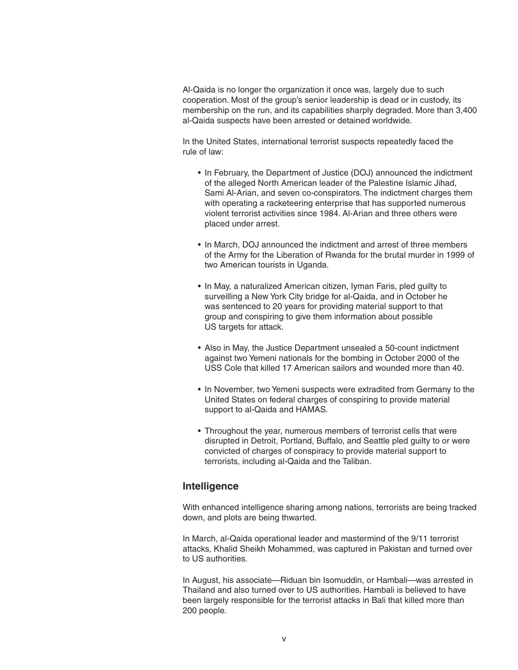Al-Qaida is no longer the organization it once was, largely due to such cooperation. Most of the group's senior leadership is dead or in custody, its membership on the run, and its capabilities sharply degraded. More than 3,400 al-Qaida suspects have been arrested or detained worldwide.

In the United States, international terrorist suspects repeatedly faced the rule of law:

- In February, the Department of Justice (DOJ) announced the indictment of the alleged North American leader of the Palestine Islamic Jihad, Sami Al-Arian, and seven co-conspirators. The indictment charges them with operating a racketeering enterprise that has supported numerous violent terrorist activities since 1984. Al-Arian and three others were placed under arrest.
- In March, DOJ announced the indictment and arrest of three members of the Army for the Liberation of Rwanda for the brutal murder in 1999 of two American tourists in Uganda.
- In May, a naturalized American citizen, Iyman Faris, pled guilty to surveilling a New York City bridge for al-Qaida, and in October he was sentenced to 20 years for providing material support to that group and conspiring to give them information about possible US targets for attack.
- Also in May, the Justice Department unsealed a 50-count indictment against two Yemeni nationals for the bombing in October 2000 of the USS Cole that killed 17 American sailors and wounded more than 40.
- In November, two Yemeni suspects were extradited from Germany to the United States on federal charges of conspiring to provide material support to al-Qaida and HAMAS.
- Throughout the year, numerous members of terrorist cells that were disrupted in Detroit, Portland, Buffalo, and Seattle pled guilty to or were convicted of charges of conspiracy to provide material support to terrorists, including al-Qaida and the Taliban.

## **Intelligence**

With enhanced intelligence sharing among nations, terrorists are being tracked down, and plots are being thwarted.

In March, al-Qaida operational leader and mastermind of the 9/11 terrorist attacks, Khalid Sheikh Mohammed, was captured in Pakistan and turned over to US authorities.

In August, his associate—Riduan bin Isomuddin, or Hambali—was arrested in Thailand and also turned over to US authorities. Hambali is believed to have been largely responsible for the terrorist attacks in Bali that killed more than 200 people.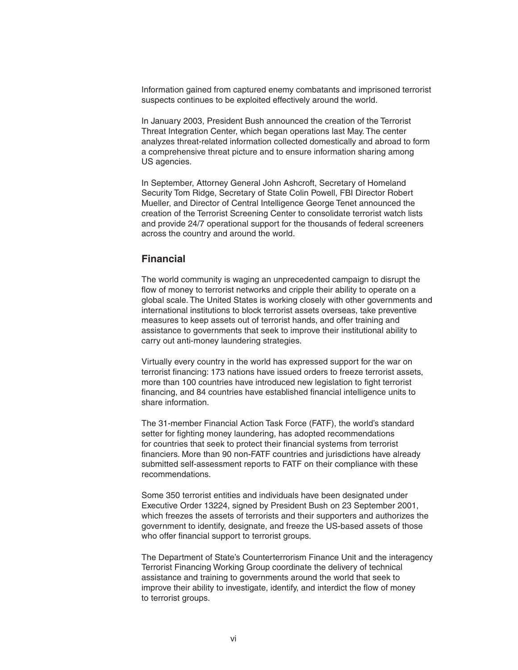Information gained from captured enemy combatants and imprisoned terrorist suspects continues to be exploited effectively around the world.

In January 2003, President Bush announced the creation of the Terrorist Threat Integration Center, which began operations last May. The center analyzes threat-related information collected domestically and abroad to form a comprehensive threat picture and to ensure information sharing among US agencies.

In September, Attorney General John Ashcroft, Secretary of Homeland Security Tom Ridge, Secretary of State Colin Powell, FBI Director Robert Mueller, and Director of Central Intelligence George Tenet announced the creation of the Terrorist Screening Center to consolidate terrorist watch lists and provide 24/7 operational support for the thousands of federal screeners across the country and around the world.

### **Financial**

The world community is waging an unprecedented campaign to disrupt the flow of money to terrorist networks and cripple their ability to operate on a global scale. The United States is working closely with other governments and international institutions to block terrorist assets overseas, take preventive measures to keep assets out of terrorist hands, and offer training and assistance to governments that seek to improve their institutional ability to carry out anti-money laundering strategies.

Virtually every country in the world has expressed support for the war on terrorist financing: 173 nations have issued orders to freeze terrorist assets, more than 100 countries have introduced new legislation to fight terrorist financing, and 84 countries have established financial intelligence units to share information.

The 31-member Financial Action Task Force (FATF), the world's standard setter for fighting money laundering, has adopted recommendations for countries that seek to protect their financial systems from terrorist financiers. More than 90 non-FATF countries and jurisdictions have already submitted self-assessment reports to FATF on their compliance with these recommendations.

Some 350 terrorist entities and individuals have been designated under Executive Order 13224, signed by President Bush on 23 September 2001, which freezes the assets of terrorists and their supporters and authorizes the government to identify, designate, and freeze the US-based assets of those who offer financial support to terrorist groups.

The Department of State's Counterterrorism Finance Unit and the interagency Terrorist Financing Working Group coordinate the delivery of technical assistance and training to governments around the world that seek to improve their ability to investigate, identify, and interdict the flow of money to terrorist groups.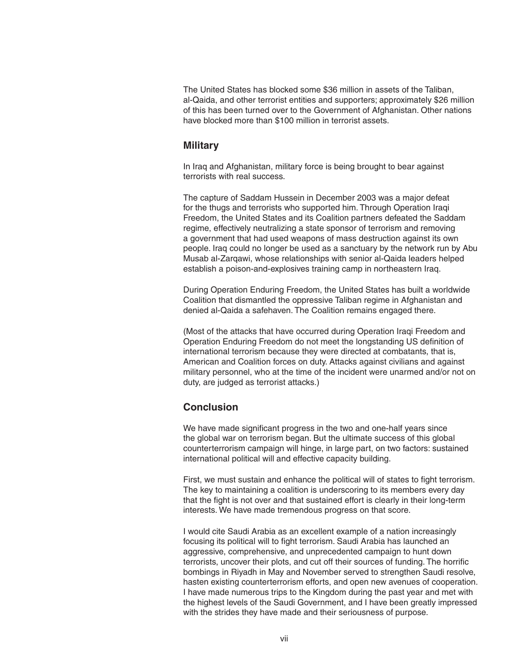The United States has blocked some \$36 million in assets of the Taliban, al-Qaida, and other terrorist entities and supporters; approximately \$26 million of this has been turned over to the Government of Afghanistan. Other nations have blocked more than \$100 million in terrorist assets.

## **Military**

In Iraq and Afghanistan, military force is being brought to bear against terrorists with real success.

The capture of Saddam Hussein in December 2003 was a major defeat for the thugs and terrorists who supported him. Through Operation Iraqi Freedom, the United States and its Coalition partners defeated the Saddam regime, effectively neutralizing a state sponsor of terrorism and removing a government that had used weapons of mass destruction against its own people. Iraq could no longer be used as a sanctuary by the network run by Abu Musab al-Zarqawi, whose relationships with senior al-Qaida leaders helped establish a poison-and-explosives training camp in northeastern Iraq.

During Operation Enduring Freedom, the United States has built a worldwide Coalition that dismantled the oppressive Taliban regime in Afghanistan and denied al-Qaida a safehaven. The Coalition remains engaged there.

(Most of the attacks that have occurred during Operation Iraqi Freedom and Operation Enduring Freedom do not meet the longstanding US definition of international terrorism because they were directed at combatants, that is, American and Coalition forces on duty. Attacks against civilians and against military personnel, who at the time of the incident were unarmed and/or not on duty, are judged as terrorist attacks.)

# **Conclusion**

We have made significant progress in the two and one-half years since the global war on terrorism began. But the ultimate success of this global counterterrorism campaign will hinge, in large part, on two factors: sustained international political will and effective capacity building.

First, we must sustain and enhance the political will of states to fight terrorism. The key to maintaining a coalition is underscoring to its members every day that the fight is not over and that sustained effort is clearly in their long-term interests. We have made tremendous progress on that score.

I would cite Saudi Arabia as an excellent example of a nation increasingly focusing its political will to fight terrorism. Saudi Arabia has launched an aggressive, comprehensive, and unprecedented campaign to hunt down terrorists, uncover their plots, and cut off their sources of funding. The horrific bombings in Riyadh in May and November served to strengthen Saudi resolve, hasten existing counterterrorism efforts, and open new avenues of cooperation. I have made numerous trips to the Kingdom during the past year and met with the highest levels of the Saudi Government, and I have been greatly impressed with the strides they have made and their seriousness of purpose.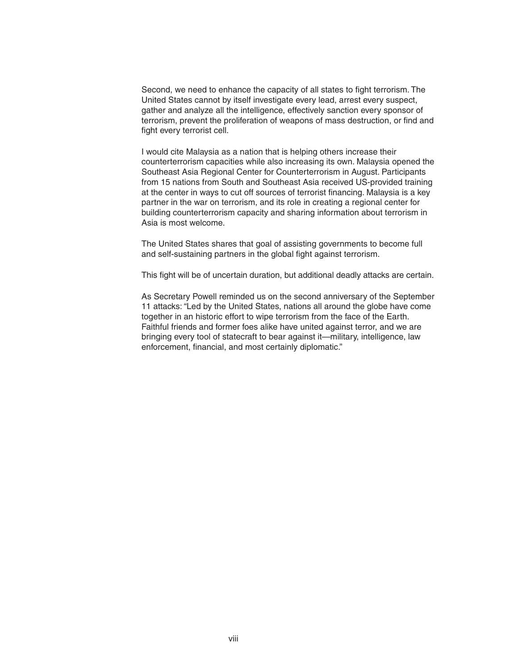Second, we need to enhance the capacity of all states to fight terrorism. The United States cannot by itself investigate every lead, arrest every suspect, gather and analyze all the intelligence, effectively sanction every sponsor of terrorism, prevent the proliferation of weapons of mass destruction, or find and fight every terrorist cell.

I would cite Malaysia as a nation that is helping others increase their counterterrorism capacities while also increasing its own. Malaysia opened the Southeast Asia Regional Center for Counterterrorism in August. Participants from 15 nations from South and Southeast Asia received US-provided training at the center in ways to cut off sources of terrorist financing. Malaysia is a key partner in the war on terrorism, and its role in creating a regional center for building counterterrorism capacity and sharing information about terrorism in Asia is most welcome.

The United States shares that goal of assisting governments to become full and self-sustaining partners in the global fight against terrorism.

This fight will be of uncertain duration, but additional deadly attacks are certain.

As Secretary Powell reminded us on the second anniversary of the September 11 attacks: "Led by the United States, nations all around the globe have come together in an historic effort to wipe terrorism from the face of the Earth. Faithful friends and former foes alike have united against terror, and we are bringing every tool of statecraft to bear against it—military, intelligence, law enforcement, financial, and most certainly diplomatic."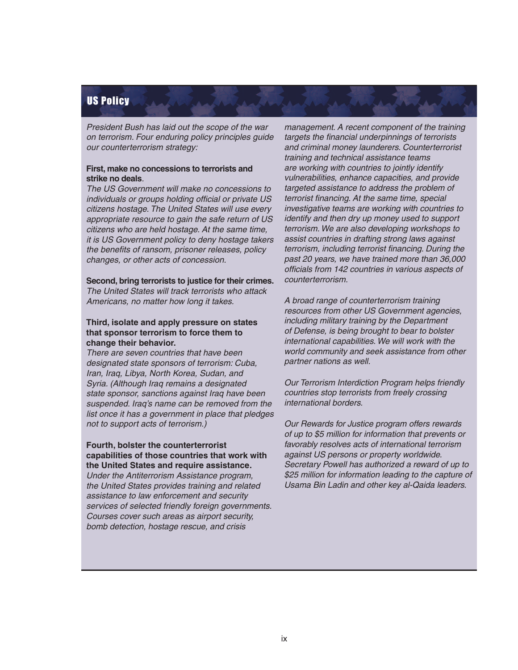# US Policy

President Bush has laid out the scope of the war on terrorism. Four enduring policy principles guide our counterterrorism strategy:

### **First, make no concessions to terrorists and strike no deals**.

The US Government will make no concessions to individuals or groups holding official or private US citizens hostage. The United States will use every appropriate resource to gain the safe return of US citizens who are held hostage. At the same time, it is US Government policy to deny hostage takers the benefits of ransom, prisoner releases, policy changes, or other acts of concession.

#### **Second, bring terrorists to justice for their crimes.**

The United States will track terrorists who attack

Americans, no matter how long it takes.

#### **Third, isolate and apply pressure on states that sponsor terrorism to force them to change their behavior.**

There are seven countries that have been designated state sponsors of terrorism: Cuba, Iran, Iraq, Libya, North Korea, Sudan, and Syria. (Although Iraq remains a designated state sponsor, sanctions against Iraq have been suspended. Iraq's name can be removed from the list once it has a government in place that pledges not to support acts of terrorism.)

## **Fourth, bolster the counterterrorist capabilities of those countries that work with the United States and require assistance.**

Under the Antiterrorism Assistance program, the United States provides training and related assistance to law enforcement and security services of selected friendly foreign governments. Courses cover such areas as airport security, bomb detection, hostage rescue, and crisis

management. A recent component of the training targets the financial underpinnings of terrorists and criminal money launderers. Counterterrorist training and technical assistance teams are working with countries to jointly identify vulnerabilities, enhance capacities, and provide targeted assistance to address the problem of terrorist financing. At the same time, special investigative teams are working with countries to identify and then dry up money used to support terrorism. We are also developing workshops to assist countries in drafting strong laws against terrorism, including terrorist financing. During the past 20 years, we have trained more than 36,000 officials from 142 countries in various aspects of counterterrorism.

A broad range of counterterrorism training resources from other US Government agencies, including military training by the Department of Defense, is being brought to bear to bolster international capabilities. We will work with the world community and seek assistance from other partner nations as well.

Our Terrorism Interdiction Program helps friendly countries stop terrorists from freely crossing international borders.

Our Rewards for Justice program offers rewards of up to \$5 million for information that prevents or favorably resolves acts of international terrorism against US persons or property worldwide. Secretary Powell has authorized a reward of up to \$25 million for information leading to the capture of Usama Bin Ladin and other key al-Qaida leaders.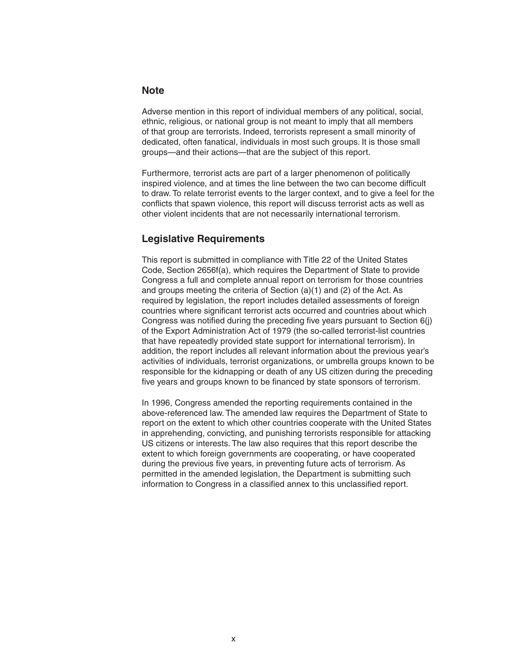## **Note**

Adverse mention in this report of individual members of any political, social, ethnic, religious, or national group is not meant to imply that all members of that group are terrorists. Indeed, terrorists represent a small minority of dedicated, often fanatical, individuals in most such groups. It is those small groups—and their actions—that are the subject of this report.

Furthermore, terrorist acts are part of a larger phenomenon of politically inspired violence, and at times the line between the two can become difficult to draw. To relate terrorist events to the larger context, and to give a feel for the conflicts that spawn violence, this report will discuss terrorist acts as well as other violent incidents that are not necessarily international terrorism.

# **Legislative Requirements**

This report is submitted in compliance with Title 22 of the United States Code, Section 2656f(a), which requires the Department of State to provide Congress a full and complete annual report on terrorism for those countries and groups meeting the criteria of Section (a)(1) and (2) of the Act. As required by legislation, the report includes detailed assessments of foreign countries where significant terrorist acts occurred and countries about which Congress was notified during the preceding five years pursuant to Section 6(j) of the Export Administration Act of 1979 (the so-called terrorist-list countries that have repeatedly provided state support for international terrorism). In addition, the report includes all relevant information about the previous year's activities of individuals, terrorist organizations, or umbrella groups known to be responsible for the kidnapping or death of any US citizen during the preceding five years and groups known to be financed by state sponsors of terrorism.

In 1996, Congress amended the reporting requirements contained in the above-referenced law. The amended law requires the Department of State to report on the extent to which other countries cooperate with the United States in apprehending, convicting, and punishing terrorists responsible for attacking US citizens or interests. The law also requires that this report describe the extent to which foreign governments are cooperating, or have cooperated during the previous five years, in preventing future acts of terrorism. As permitted in the amended legislation, the Department is submitting such information to Congress in a classified annex to this unclassified report.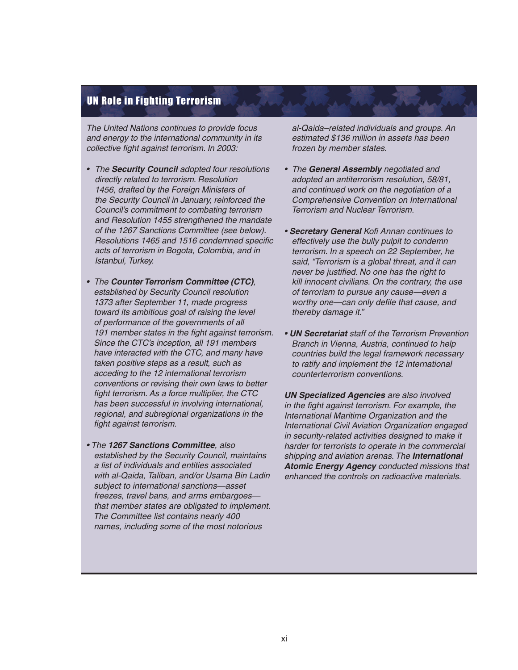# UN Role in Fighting Terrorism

The United Nations continues to provide focus and energy to the international community in its collective fight against terrorism. In 2003:

- The **Security Council** adopted four resolutions directly related to terrorism. Resolution 1456, drafted by the Foreign Ministers of the Security Council in January, reinforced the Council's commitment to combating terrorism and Resolution 1455 strengthened the mandate of the 1267 Sanctions Committee (see below). Resolutions 1465 and 1516 condemned specific acts of terrorism in Bogota, Colombia, and in Istanbul, Turkey.
- The **Counter Terrorism Committee (CTC)**, established by Security Council resolution 1373 after September 11, made progress toward its ambitious goal of raising the level of performance of the governments of all 191 member states in the fight against terrorism. Since the CTC's inception, all 191 members have interacted with the CTC, and many have taken positive steps as a result, such as acceding to the 12 international terrorism conventions or revising their own laws to better fight terrorism. As a force multiplier, the CTC has been successful in involving international, regional, and subregional organizations in the fight against terrorism.
- The **1267 Sanctions Committee**, also established by the Security Council, maintains a list of individuals and entities associated with al-Qaida, Taliban, and/or Usama Bin Ladin subject to international sanctions—asset freezes, travel bans, and arms embargoes that member states are obligated to implement. The Committee list contains nearly 400 names, including some of the most notorious

 al-Qaida–related individuals and groups. An estimated \$136 million in assets has been frozen by member states.

- The **General Assembly** negotiated and adopted an antiterrorism resolution, 58/81, and continued work on the negotiation of a Comprehensive Convention on International Terrorism and Nuclear Terrorism.
- **Secretary General** Kofi Annan continues to effectively use the bully pulpit to condemn terrorism. In a speech on 22 September, he said, "Terrorism is a global threat, and it can never be justified. No one has the right to kill innocent civilians. On the contrary, the use of terrorism to pursue any cause—even a worthy one-can only defile that cause, and thereby damage it."
- **UN Secretariat** staff of the Terrorism Prevention Branch in Vienna, Austria, continued to help countries build the legal framework necessary to ratify and implement the 12 international counterterrorism conventions.

**UN Specialized Agencies** are also involved in the fight against terrorism. For example, the International Maritime Organization and the International Civil Aviation Organization engaged in security-related activities designed to make it harder for terrorists to operate in the commercial shipping and aviation arenas. The **International Atomic Energy Agency** conducted missions that enhanced the controls on radioactive materials.